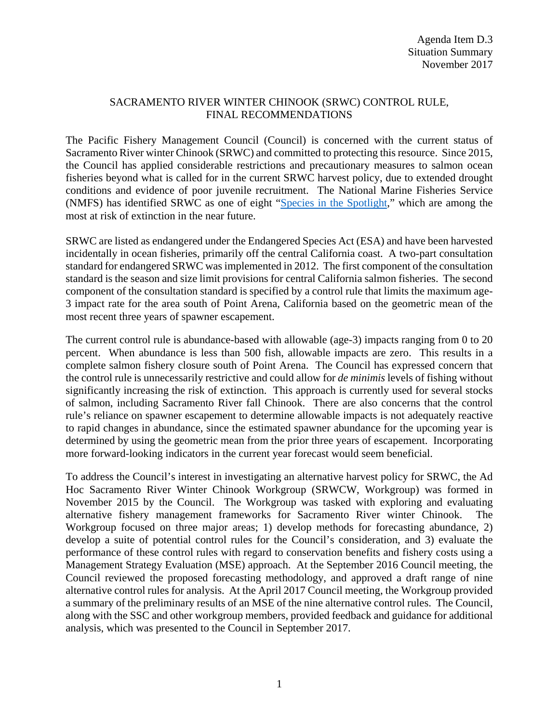## SACRAMENTO RIVER WINTER CHINOOK (SRWC) CONTROL RULE, FINAL RECOMMENDATIONS

The Pacific Fishery Management Council (Council) is concerned with the current status of Sacramento River winter Chinook (SRWC) and committed to protecting this resource. Since 2015, the Council has applied considerable restrictions and precautionary measures to salmon ocean fisheries beyond what is called for in the current SRWC harvest policy, due to extended drought conditions and evidence of poor juvenile recruitment. The National Marine Fisheries Service (NMFS) has identified SRWC as one of eight ["Species in the Spotlight,](http://www.nmfs.noaa.gov/stories/2015/05/05_14_15species_in_the_spotlight.html)" which are among the most at risk of extinction in the near future.

SRWC are listed as endangered under the Endangered Species Act (ESA) and have been harvested incidentally in ocean fisheries, primarily off the central California coast. A two-part consultation standard for endangered SRWC was implemented in 2012. The first component of the consultation standard is the season and size limit provisions for central California salmon fisheries. The second component of the consultation standard is specified by a control rule that limits the maximum age-3 impact rate for the area south of Point Arena, California based on the geometric mean of the most recent three years of spawner escapement.

The current control rule is abundance-based with allowable (age-3) impacts ranging from 0 to 20 percent. When abundance is less than 500 fish, allowable impacts are zero. This results in a complete salmon fishery closure south of Point Arena. The Council has expressed concern that the control rule is unnecessarily restrictive and could allow for *de minimis* levels of fishing without significantly increasing the risk of extinction. This approach is currently used for several stocks of salmon, including Sacramento River fall Chinook. There are also concerns that the control rule's reliance on spawner escapement to determine allowable impacts is not adequately reactive to rapid changes in abundance, since the estimated spawner abundance for the upcoming year is determined by using the geometric mean from the prior three years of escapement. Incorporating more forward-looking indicators in the current year forecast would seem beneficial.

To address the Council's interest in investigating an alternative harvest policy for SRWC, the Ad Hoc Sacramento River Winter Chinook Workgroup (SRWCW, Workgroup) was formed in November 2015 by the Council. The Workgroup was tasked with exploring and evaluating alternative fishery management frameworks for Sacramento River winter Chinook. The Workgroup focused on three major areas; 1) develop methods for forecasting abundance, 2) develop a suite of potential control rules for the Council's consideration, and 3) evaluate the performance of these control rules with regard to conservation benefits and fishery costs using a Management Strategy Evaluation (MSE) approach. At the September 2016 Council meeting, the Council reviewed the proposed forecasting methodology, and approved a draft range of nine alternative control rules for analysis. At the April 2017 Council meeting, the Workgroup provided a summary of the preliminary results of an MSE of the nine alternative control rules. The Council, along with the SSC and other workgroup members, provided feedback and guidance for additional analysis, which was presented to the Council in September 2017.